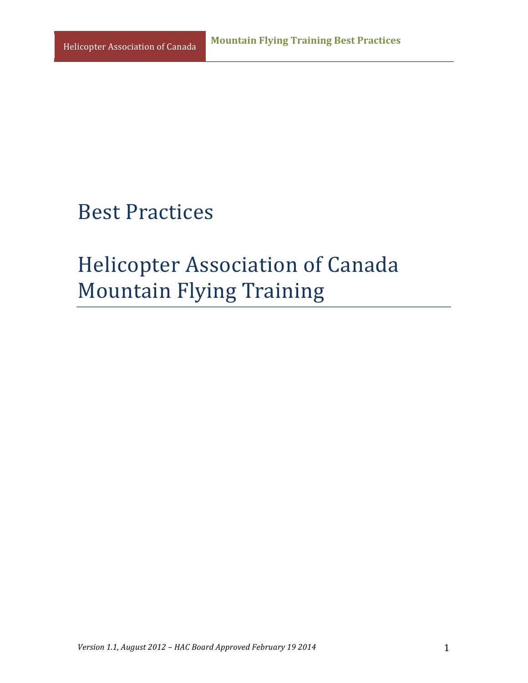# **Best Practices**

# **Helicopter Association of Canada Mountain Flying Training**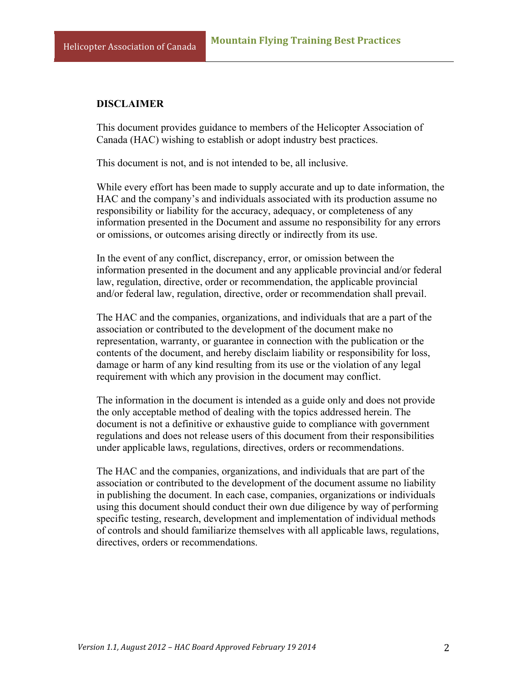#### **DISCLAIMER**

This document provides guidance to members of the Helicopter Association of Canada (HAC) wishing to establish or adopt industry best practices.

This document is not, and is not intended to be, all inclusive.

While every effort has been made to supply accurate and up to date information, the HAC and the company's and individuals associated with its production assume no responsibility or liability for the accuracy, adequacy, or completeness of any information presented in the Document and assume no responsibility for any errors or omissions, or outcomes arising directly or indirectly from its use.

In the event of any conflict, discrepancy, error, or omission between the information presented in the document and any applicable provincial and/or federal law, regulation, directive, order or recommendation, the applicable provincial and/or federal law, regulation, directive, order or recommendation shall prevail.

The HAC and the companies, organizations, and individuals that are a part of the association or contributed to the development of the document make no representation, warranty, or guarantee in connection with the publication or the contents of the document, and hereby disclaim liability or responsibility for loss, damage or harm of any kind resulting from its use or the violation of any legal requirement with which any provision in the document may conflict.

The information in the document is intended as a guide only and does not provide the only acceptable method of dealing with the topics addressed herein. The document is not a definitive or exhaustive guide to compliance with government regulations and does not release users of this document from their responsibilities under applicable laws, regulations, directives, orders or recommendations.

The HAC and the companies, organizations, and individuals that are part of the association or contributed to the development of the document assume no liability in publishing the document. In each case, companies, organizations or individuals using this document should conduct their own due diligence by way of performing specific testing, research, development and implementation of individual methods of controls and should familiarize themselves with all applicable laws, regulations, directives, orders or recommendations.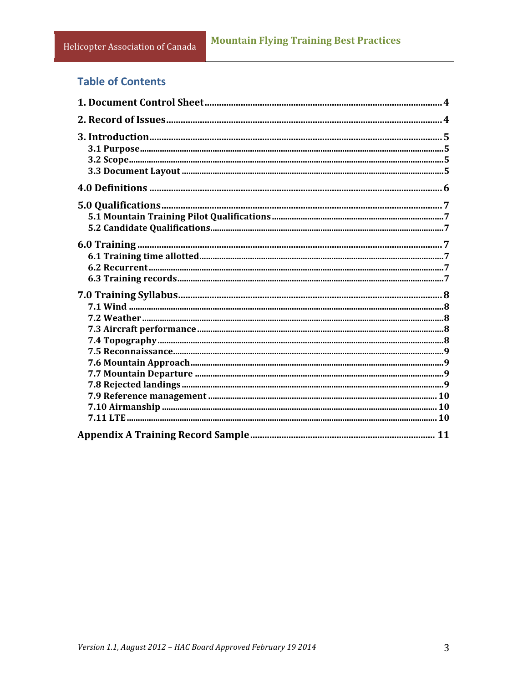## **Table of Contents**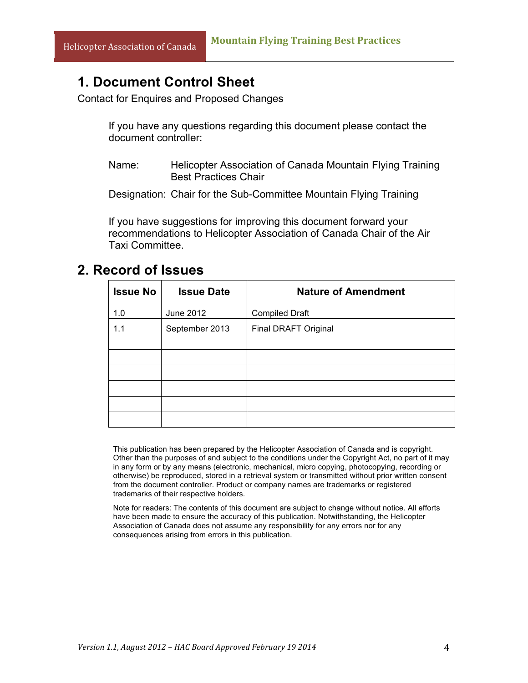## **1. Document Control Sheet**

Contact for Enquires and Proposed Changes

If you have any questions regarding this document please contact the document controller:

Name: Helicopter Association of Canada Mountain Flying Training Best Practices Chair

Designation: Chair for the Sub-Committee Mountain Flying Training

If you have suggestions for improving this document forward your recommendations to Helicopter Association of Canada Chair of the Air Taxi Committee.

### **2. Record of Issues**

| <b>Issue No</b> | <b>Issue Date</b> | <b>Nature of Amendment</b> |
|-----------------|-------------------|----------------------------|
| 1.0             | June 2012         | <b>Compiled Draft</b>      |
| 1.1             | September 2013    | Final DRAFT Original       |
|                 |                   |                            |
|                 |                   |                            |
|                 |                   |                            |
|                 |                   |                            |
|                 |                   |                            |
|                 |                   |                            |

This publication has been prepared by the Helicopter Association of Canada and is copyright. Other than the purposes of and subject to the conditions under the Copyright Act, no part of it may in any form or by any means (electronic, mechanical, micro copying, photocopying, recording or otherwise) be reproduced, stored in a retrieval system or transmitted without prior written consent from the document controller. Product or company names are trademarks or registered trademarks of their respective holders.

Note for readers: The contents of this document are subject to change without notice. All efforts have been made to ensure the accuracy of this publication. Notwithstanding, the Helicopter Association of Canada does not assume any responsibility for any errors nor for any consequences arising from errors in this publication.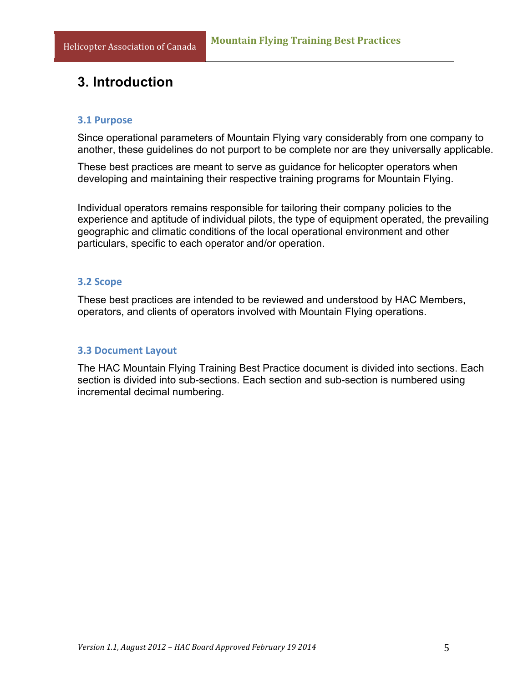# **3. Introduction**

#### **3.1 Purpose**

Since operational parameters of Mountain Flying vary considerably from one company to another, these guidelines do not purport to be complete nor are they universally applicable.

These best practices are meant to serve as guidance for helicopter operators when developing and maintaining their respective training programs for Mountain Flying.

Individual operators remains responsible for tailoring their company policies to the experience and aptitude of individual pilots, the type of equipment operated, the prevailing geographic and climatic conditions of the local operational environment and other particulars, specific to each operator and/or operation.

#### **3.2 Scope**

These best practices are intended to be reviewed and understood by HAC Members, operators, and clients of operators involved with Mountain Flying operations.

#### **3.3 Document Layout**

The HAC Mountain Flying Training Best Practice document is divided into sections. Each section is divided into sub-sections. Each section and sub-section is numbered using incremental decimal numbering.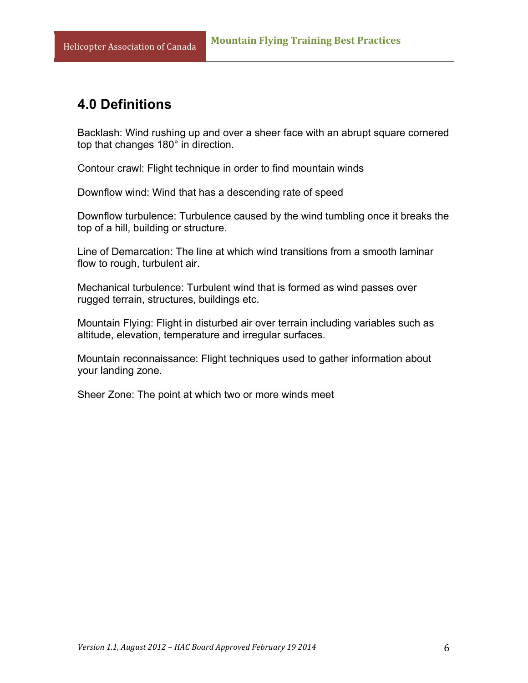## **4.0 Definitions**

Backlash: Wind rushing up and over a sheer face with an abrupt square cornered top that changes 180° in direction.

Contour crawl: Flight technique in order to find mountain winds

Downflow wind: Wind that has a descending rate of speed

Downflow turbulence: Turbulence caused by the wind tumbling once it breaks the top of a hill, building or structure.

Line of Demarcation: The line at which wind transitions from a smooth laminar flow to rough, turbulent air.

Mechanical turbulence: Turbulent wind that is formed as wind passes over rugged terrain, structures, buildings etc.

Mountain Flying: Flight in disturbed air over terrain including variables such as altitude, elevation, temperature and irregular surfaces.

Mountain reconnaissance: Flight techniques used to gather information about your landing zone.

Sheer Zone: The point at which two or more winds meet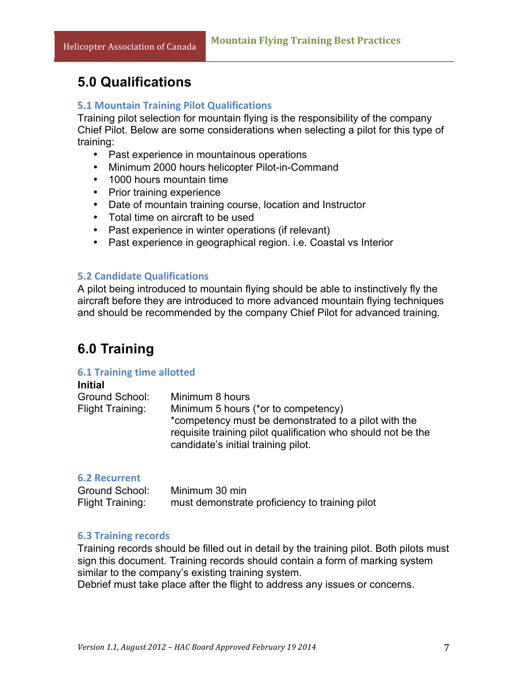## **5.0 Qualifications**

#### **5.1 Mountain Training Pilot Qualifications**

Training pilot selection for mountain flying is the responsibility of the company Chief Pilot. Below are some considerations when selecting a pilot for this type of training:

- Past experience in mountainous operations
- Minimum 2000 hours helicopter Pilot-in-Command
- 1000 hours mountain time
- Prior training experience
- Date of mountain training course, location and Instructor
- Total time on aircraft to be used
- Past experience in winter operations (if relevant)
- Past experience in geographical region. i.e. Coastal vs Interior

#### **5.2 Candidate Qualifications**

A pilot being introduced to mountain flying should be able to instinctively fly the aircraft before they are introduced to more advanced mountain flying techniques and should be recommended by the company Chief Pilot for advanced training.

## **6.0 Training**

#### **6.1 Training time allotted**

#### **Initial** Ground School: Minimum 8 hours Flight Training: Minimum 5 hours (\*or to competency) \*competency must be demonstrated to a pilot with the requisite training pilot qualification who should not be the candidate's initial training pilot.

#### **6.2 Recurrent**

| Ground School:   | Minimum 30 min                                 |
|------------------|------------------------------------------------|
| Flight Training: | must demonstrate proficiency to training pilot |

#### **6.3 Training records**

Training records should be filled out in detail by the training pilot. Both pilots must sign this document. Training records should contain a form of marking system similar to the company's existing training system.

Debrief must take place after the flight to address any issues or concerns.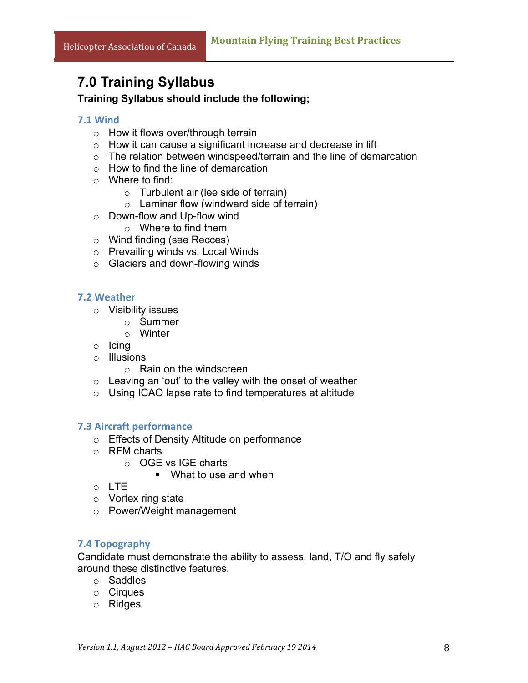## **7.0 Training Syllabus**

#### **Training Syllabus should include the following;**

#### **7.1 Wind**

- o How it flows over/through terrain
- o How it can cause a significant increase and decrease in lift
- $\circ$  The relation between windspeed/terrain and the line of demarcation
- $\circ$  How to find the line of demarcation
- o Where to find:
	- $\circ$  Turbulent air (lee side of terrain)
	- $\circ$  Laminar flow (windward side of terrain)
- o Down-flow and Up-flow wind
	- o Where to find them
- o Wind finding (see Recces)
- o Prevailing winds vs. Local Winds
- o Glaciers and down-flowing winds

#### **7.2 Weather**

- o Visibility issues
	- o Summer
	- o Winter
- o Icing
- o Illusions
	- o Rain on the windscreen
- $\circ$  Leaving an 'out' to the valley with the onset of weather
- o Using ICAO lapse rate to find temperatures at altitude

#### **7.3 Aircraft performance**

- o Effects of Density Altitude on performance
- o RFM charts
	- o OGE vs IGE charts
		- What to use and when
- o LTE
- o Vortex ring state
- o Power/Weight management

#### **7.4 Topography**

Candidate must demonstrate the ability to assess, land, T/O and fly safely around these distinctive features.

- o Saddles
- o Cirques
- o Ridges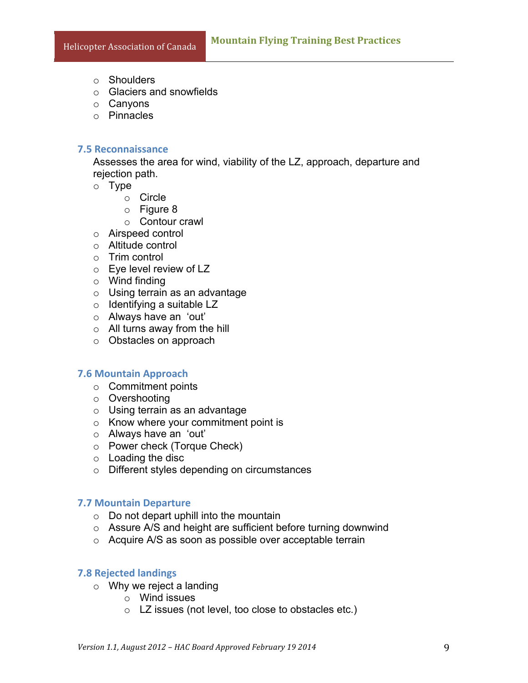- o Shoulders
- o Glaciers and snowfields
- o Canyons
- o Pinnacles

#### **7.5 Reconnaissance**

Assesses the area for wind, viability of the LZ, approach, departure and rejection path.

- o Type
	- o Circle
	- $\circ$  Figure 8
	- o Contour crawl
- o Airspeed control
- o Altitude control
- o Trim control
- o Eye level review of LZ
- $\circ$  Wind finding
- $\circ$  Using terrain as an advantage
- o Identifying a suitable LZ
- o Always have an 'out'
- o All turns away from the hill
- o Obstacles on approach

#### **7.6 Mountain Approach**

- o Commitment points
- o Overshooting
- o Using terrain as an advantage
- o Know where your commitment point is
- o Always have an 'out'
- o Power check (Torque Check)
- o Loading the disc
- o Different styles depending on circumstances

#### **7.7 Mountain Departure**

- $\circ$  Do not depart uphill into the mountain
- o Assure A/S and height are sufficient before turning downwind
- o Acquire A/S as soon as possible over acceptable terrain

#### **7.8 Rejected landings**

- $\circ$  Why we reject a landing
	- o Wind issues
	- o LZ issues (not level, too close to obstacles etc.)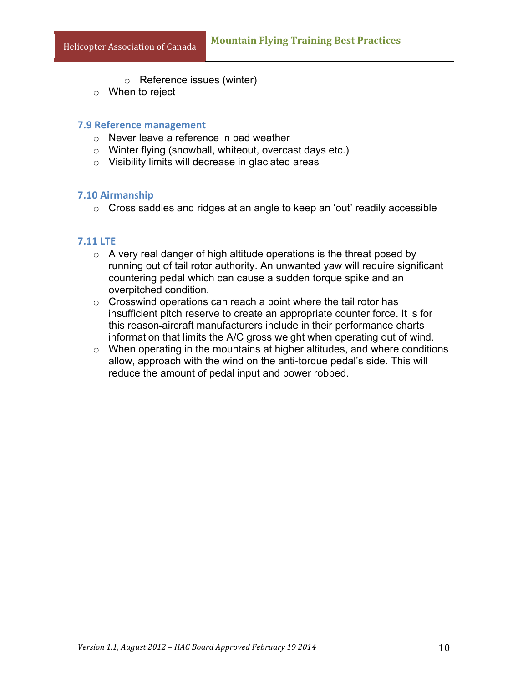- o Reference issues (winter)
- o When to reject

#### **7.9 Reference management**

- o Never leave a reference in bad weather
- o Winter flying (snowball, whiteout, overcast days etc.)
- o Visibility limits will decrease in glaciated areas

#### **7.10 Airmanship**

o Cross saddles and ridges at an angle to keep an 'out' readily accessible

#### **7.11 LTE**

- $\circ$  A very real danger of high altitude operations is the threat posed by running out of tail rotor authority. An unwanted yaw will require significant countering pedal which can cause a sudden torque spike and an overpitched condition.
- $\circ$  Crosswind operations can reach a point where the tail rotor has insufficient pitch reserve to create an appropriate counter force. It is for this reason aircraft manufacturers include in their performance charts information that limits the A/C gross weight when operating out of wind.
- $\circ$  When operating in the mountains at higher altitudes, and where conditions allow, approach with the wind on the anti-torque pedal's side. This will reduce the amount of pedal input and power robbed.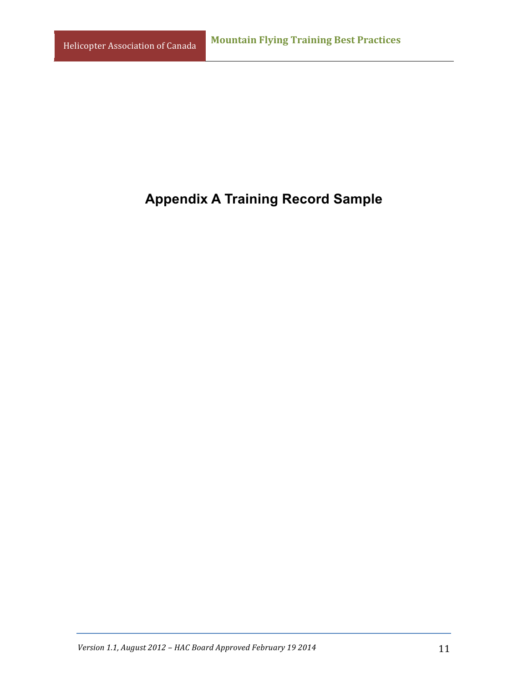# **Appendix A Training Record Sample**